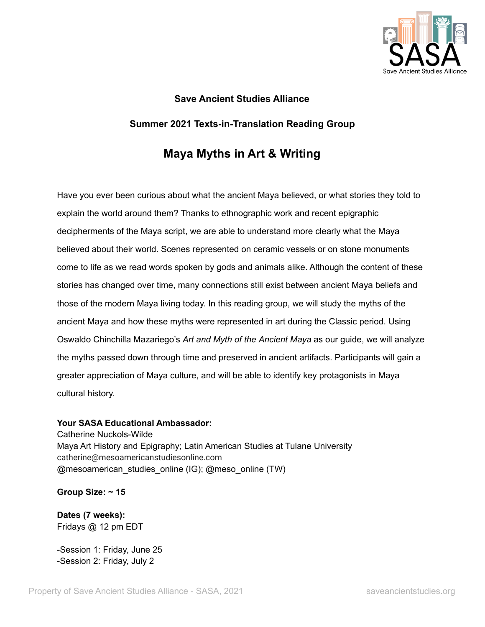

# **Save Ancient Studies Alliance Summer 2021 Texts-in-Translation Reading Group**

# **Maya Myths in Art & Writing**

Have you ever been curious about what the ancient Maya believed, or what stories they told to explain the world around them? Thanks to ethnographic work and recent epigraphic decipherments of the Maya script, we are able to understand more clearly what the Maya believed about their world. Scenes represented on ceramic vessels or on stone monuments come to life as we read words spoken by gods and animals alike. Although the content of these stories has changed over time, many connections still exist between ancient Maya beliefs and those of the modern Maya living today. In this reading group, we will study the myths of the ancient Maya and how these myths were represented in art during the Classic period. Using Oswaldo Chinchilla Mazariego's *Art and Myth of the Ancient Maya* as our guide, we will analyze the myths passed down through time and preserved in ancient artifacts. Participants will gain a greater appreciation of Maya culture, and will be able to identify key protagonists in Maya cultural history.

#### **Your SASA Educational Ambassador:**

Catherine Nuckols-Wilde Maya Art History and Epigraphy; Latin American Studies at Tulane University catherine@mesoamericanstudiesonline.com @mesoamerican\_studies\_online (IG); @meso\_online (TW)

**Group Size: ~ 15**

**Dates (7 weeks):** Fridays @ 12 pm EDT

-Session 1: Friday, June 25 -Session 2: Friday, July 2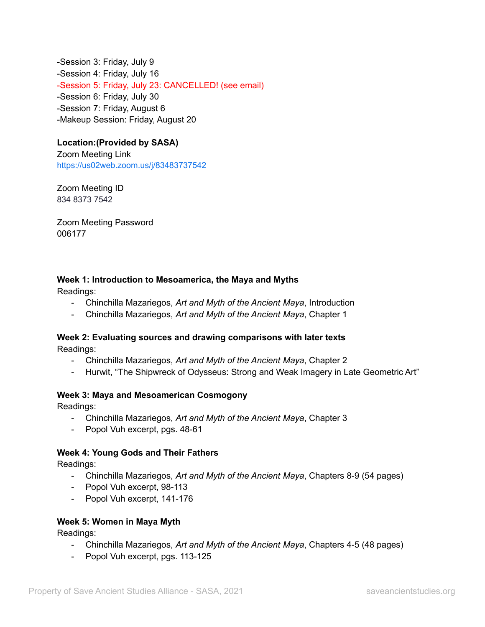-Session 3: Friday, July 9 -Session 4: Friday, July 16 -Session 5: Friday, July 23: CANCELLED! (see email) -Session 6: Friday, July 30 -Session 7: Friday, August 6 -Makeup Session: Friday, August 20

### **Location:(Provided by SASA)**

Zoom Meeting Link <https://us02web.zoom.us/j/83483737542>

Zoom Meeting ID 834 8373 7542

Zoom Meeting Password 006177

#### **Week 1: Introduction to Mesoamerica, the Maya and Myths**

Readings:

- Chinchilla Mazariegos, *Art and Myth of the Ancient Maya*, Introduction
- Chinchilla Mazariegos, *Art and Myth of the Ancient Maya*, Chapter 1

#### **Week 2: Evaluating sources and drawing comparisons with later texts** Readings:

- Chinchilla Mazariegos, *Art and Myth of the Ancient Maya*, Chapter 2
- Hurwit, "The Shipwreck of Odysseus: Strong and Weak Imagery in Late Geometric Art"

#### **Week 3: Maya and Mesoamerican Cosmogony**

Readings:

- Chinchilla Mazariegos, *Art and Myth of the Ancient Maya*, Chapter 3
- Popol Vuh excerpt, pgs. 48-61

#### **Week 4: Young Gods and Their Fathers**

Readings:

- Chinchilla Mazariegos, *Art and Myth of the Ancient Maya*, Chapters 8-9 (54 pages)
- Popol Vuh excerpt, 98-113
- Popol Vuh excerpt, 141-176

#### **Week 5: Women in Maya Myth**

Readings:

- Chinchilla Mazariegos, *Art and Myth of the Ancient Maya*, Chapters 4-5 (48 pages)
- Popol Vuh excerpt, pgs. 113-125